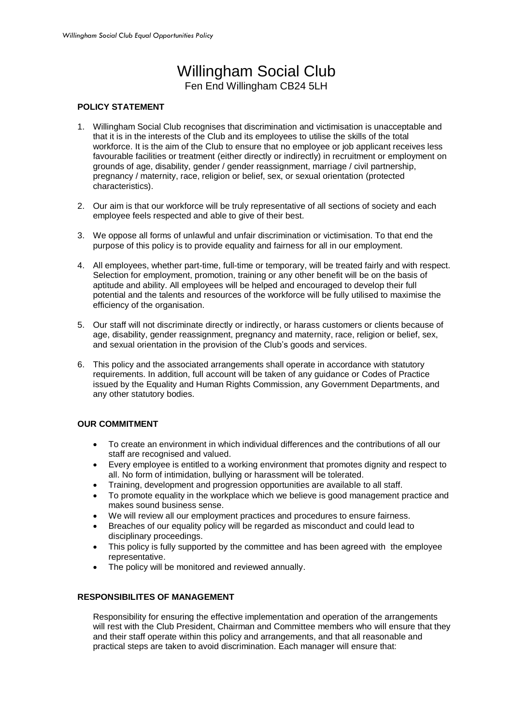# Willingham Social Club Fen End Willingham CB24 5LH

## **POLICY STATEMENT**

- 1. Willingham Social Club recognises that discrimination and victimisation is unacceptable and that it is in the interests of the Club and its employees to utilise the skills of the total workforce. It is the aim of the Club to ensure that no employee or job applicant receives less favourable facilities or treatment (either directly or indirectly) in recruitment or employment on grounds of age, disability, gender / gender reassignment, marriage / civil partnership, pregnancy / maternity, race, religion or belief, sex, or sexual orientation (protected characteristics).
- 2. Our aim is that our workforce will be truly representative of all sections of society and each employee feels respected and able to give of their best.
- 3. We oppose all forms of unlawful and unfair discrimination or victimisation. To that end the purpose of this policy is to provide equality and fairness for all in our employment.
- 4. All employees, whether part-time, full-time or temporary, will be treated fairly and with respect. Selection for employment, promotion, training or any other benefit will be on the basis of aptitude and ability. All employees will be helped and encouraged to develop their full potential and the talents and resources of the workforce will be fully utilised to maximise the efficiency of the organisation.
- 5. Our staff will not discriminate directly or indirectly, or harass customers or clients because of age, disability, gender reassignment, pregnancy and maternity, race, religion or belief, sex, and sexual orientation in the provision of the Club's goods and services.
- 6. This policy and the associated arrangements shall operate in accordance with statutory requirements. In addition, full account will be taken of any guidance or Codes of Practice issued by the Equality and Human Rights Commission, any Government Departments, and any other statutory bodies.

# **OUR COMMITMENT**

- To create an environment in which individual differences and the contributions of all our staff are recognised and valued.
- Every employee is entitled to a working environment that promotes dignity and respect to all. No form of intimidation, bullying or harassment will be tolerated.
- Training, development and progression opportunities are available to all staff.
- To promote equality in the workplace which we believe is good management practice and makes sound business sense.
- We will review all our employment practices and procedures to ensure fairness.
- Breaches of our equality policy will be regarded as misconduct and could lead to disciplinary proceedings.
- This policy is fully supported by the committee and has been agreed with the employee representative.
- The policy will be monitored and reviewed annually.

#### **RESPONSIBILITES OF MANAGEMENT**

Responsibility for ensuring the effective implementation and operation of the arrangements will rest with the Club President, Chairman and Committee members who will ensure that they and their staff operate within this policy and arrangements, and that all reasonable and practical steps are taken to avoid discrimination. Each manager will ensure that: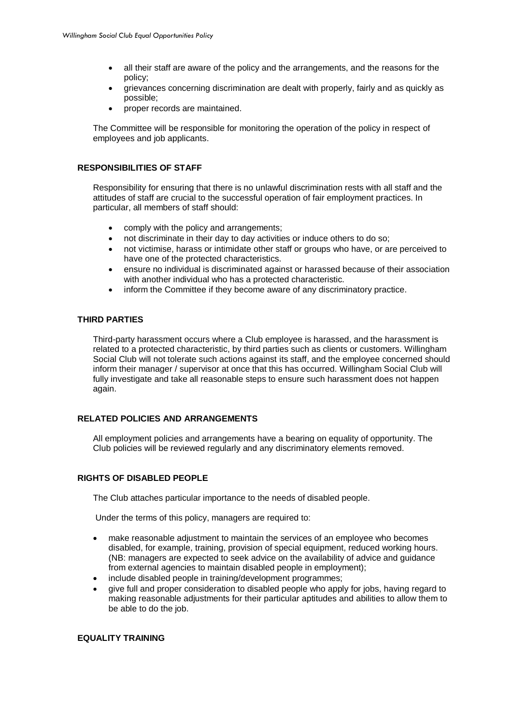- all their staff are aware of the policy and the arrangements, and the reasons for the policy;
- grievances concerning discrimination are dealt with properly, fairly and as quickly as possible;
- proper records are maintained.

The Committee will be responsible for monitoring the operation of the policy in respect of employees and job applicants.

## **RESPONSIBILITIES OF STAFF**

Responsibility for ensuring that there is no unlawful discrimination rests with all staff and the attitudes of staff are crucial to the successful operation of fair employment practices. In particular, all members of staff should:

- comply with the policy and arrangements;
- not discriminate in their day to day activities or induce others to do so;
- not victimise, harass or intimidate other staff or groups who have, or are perceived to have one of the protected characteristics.
- ensure no individual is discriminated against or harassed because of their association with another individual who has a protected characteristic.
- inform the Committee if they become aware of any discriminatory practice.

## **THIRD PARTIES**

Third-party harassment occurs where a Club employee is harassed, and the harassment is related to a protected characteristic, by third parties such as clients or customers. Willingham Social Club will not tolerate such actions against its staff, and the employee concerned should inform their manager / supervisor at once that this has occurred. Willingham Social Club will fully investigate and take all reasonable steps to ensure such harassment does not happen again.

# **RELATED POLICIES AND ARRANGEMENTS**

All employment policies and arrangements have a bearing on equality of opportunity. The Club policies will be reviewed regularly and any discriminatory elements removed.

# **RIGHTS OF DISABLED PEOPLE**

The Club attaches particular importance to the needs of disabled people.

Under the terms of this policy, managers are required to:

- make reasonable adjustment to maintain the services of an employee who becomes disabled, for example, training, provision of special equipment, reduced working hours. (NB: managers are expected to seek advice on the availability of advice and guidance from external agencies to maintain disabled people in employment);
- include disabled people in training/development programmes;
- give full and proper consideration to disabled people who apply for jobs, having regard to making reasonable adjustments for their particular aptitudes and abilities to allow them to be able to do the job.

## **EQUALITY TRAINING**